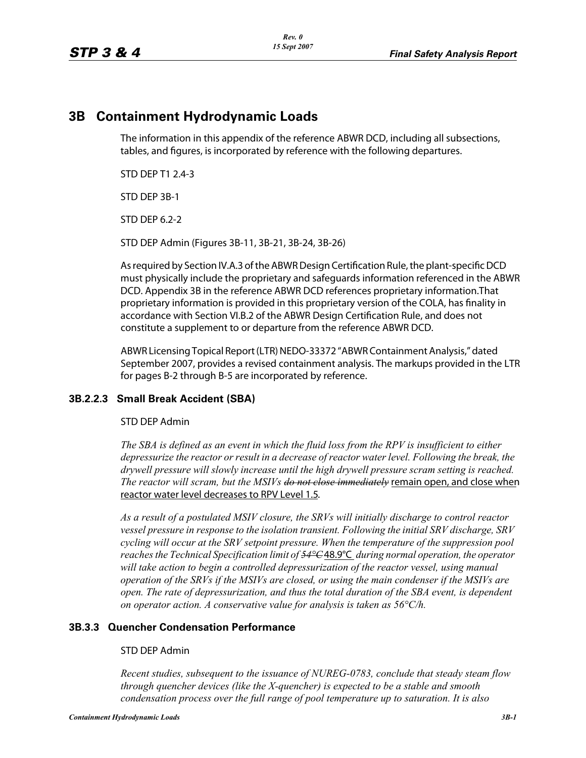# **3B Containment Hydrodynamic Loads**

The information in this appendix of the reference ABWR DCD, including all subsections, tables, and figures, is incorporated by reference with the following departures.

STD DEP T1 2.4-3

STD DEP 3B-1

STD DEP 6.2-2

STD DEP Admin (Figures 3B-11, 3B-21, 3B-24, 3B-26)

As required by Section IV.A.3 of the ABWR Design Certification Rule, the plant-specific DCD must physically include the proprietary and safeguards information referenced in the ABWR DCD. Appendix 3B in the reference ABWR DCD references proprietary information.That proprietary information is provided in this proprietary version of the COLA, has finality in accordance with Section VI.B.2 of the ABWR Design Certification Rule, and does not constitute a supplement to or departure from the reference ABWR DCD.

ABWR Licensing Topical Report (LTR) NEDO-33372 "ABWR Containment Analysis," dated September 2007, provides a revised containment analysis. The markups provided in the LTR for pages B-2 through B-5 are incorporated by reference.

# **3B.2.2.3 Small Break Accident (SBA)**

# STD DEP Admin

The SBA is defined as an event in which the fluid loss from the RPV is insufficient to either *depressurize the reactor or result in a decrease of reactor water level. Following the break, the drywell pressure will slowly increase until the high drywell pressure scram setting is reached. The reactor will scram, but the MSIVs do not close immediately* remain open, and close when reactor water level decreases to RPV Level 1.5.

*As a result of a postulated MSIV closure, the SRVs will initially discharge to control reactor vessel pressure in response to the isolation transient. Following the initial SRV discharge, SRV cycling will occur at the SRV setpoint pressure. When the temperature of the suppression pool reachesthe Technical Specification limit of 54°C*48.9°C *during normal operation, the operator will take action to begin a controlled depressurization of the reactor vessel, using manual operation of the SRVs if the MSIVs are closed, or using the main condenser if the MSIVs are open. The rate of depressurization, and thus the total duration of the SBA event, is dependent on operator action. A conservative value for analysis is taken as 56°C/h.*

# **3B.3.3 Quencher Condensation Performance**

# STD DEP Admin

*Recent studies, subsequent to the issuance of NUREG-0783, conclude that steady steam flow through quencher devices (like the X-quencher) is expected to be a stable and smooth condensation process over the full range of pool temperature up to saturation. It is also*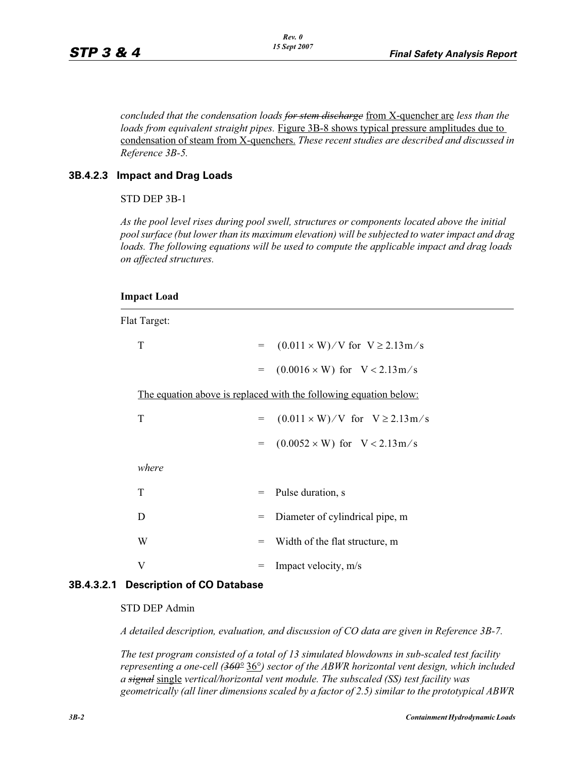*concluded that the condensation loads for stem discharge* from X-quencher are *less than the loads from equivalent straight pipes.* Figure 3B-8 shows typical pressure amplitudes due to condensation of steam from X-quenchers. *These recent studies are described and discussed in Reference 3B-5.*

### **3B.4.2.3 Impact and Drag Loads**

#### STD DEP 3B-1

*As the pool level rises during pool swell, structures or components located above the initial pool surface (but lower than its maximum elevation) will be subjected to water impact and drag loads. The following equations will be used to compute the applicable impact and drag loads on affected structures.*

#### **Impact Load**

Flat Target:

| T                                                                 | $=$ | $(0.011 \times W)/V$ for $V \ge 2.13 \text{ m/s}$ |
|-------------------------------------------------------------------|-----|---------------------------------------------------|
|                                                                   | $=$ | $(0.0016 \times W)$ for V < 2.13m/s               |
| The equation above is replaced with the following equation below: |     |                                                   |
| T                                                                 | $=$ | $(0.011 \times W)/V$ for $V \ge 2.13 \text{ m/s}$ |
|                                                                   | $=$ | $(0.0052 \times W)$ for $V < 2.13 \text{ m/s}$    |
| where                                                             |     |                                                   |
| T                                                                 | $=$ | Pulse duration, s                                 |
| D                                                                 | $=$ | Diameter of cylindrical pipe, m                   |
| W                                                                 | $=$ | Width of the flat structure, m                    |
| V                                                                 | $=$ | Impact velocity, m/s                              |

### **3B.4.3.2.1 Description of CO Database**

#### STD DEP Admin

*A detailed description, evaluation, and discussion of CO data are given in Reference 3B-7.*

*The test program consisted of a total of 13 simulated blowdowns in sub-scaled test facility representing a one-cell (360°* 36°*) sector of the ABWR horizontal vent design, which included a signal* single *vertical/horizontal vent module. The subscaled (SS) test facility was geometrically (all liner dimensions scaled by a factor of 2.5) similar to the prototypical ABWR*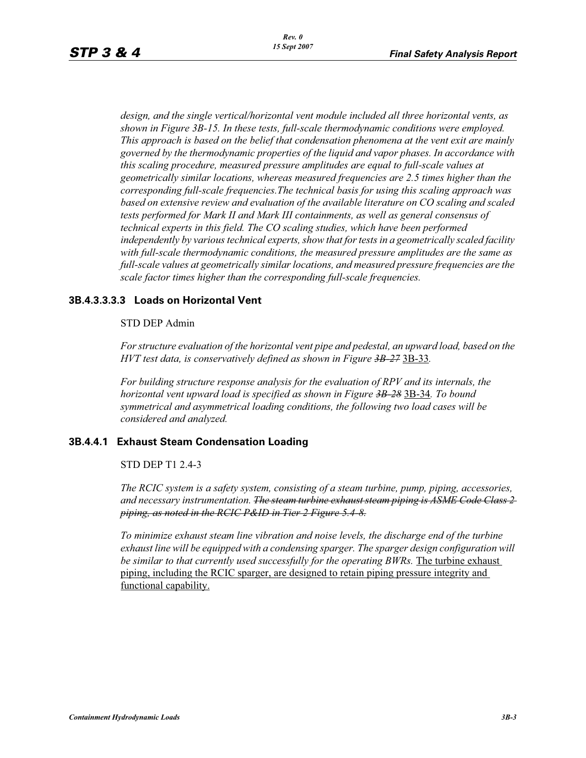*design, and the single vertical/horizontal vent module included all three horizontal vents, as shown in Figure 3B-15. In these tests, full-scale thermodynamic conditions were employed. This approach is based on the belief that condensation phenomena at the vent exit are mainly governed by the thermodynamic properties of the liquid and vapor phases. In accordance with this scaling procedure, measured pressure amplitudes are equal to full-scale values at geometrically similar locations, whereas measured frequencies are 2.5 times higher than the corresponding full-scale frequencies.The technical basis for using this scaling approach was based on extensive review and evaluation of the available literature on CO scaling and scaled*  tests performed for Mark II and Mark III containments, as well as general consensus of *technical experts in this field. The CO scaling studies, which have been performed independently by various technical experts, show that for tests in a geometrically scaled facility with full-scale thermodynamic conditions, the measured pressure amplitudes are the same as full-scale values at geometrically similar locations, and measured pressure frequencies are the scale factor times higher than the corresponding full-scale frequencies.*

### **3B.4.3.3.3.3 Loads on Horizontal Vent**

### STD DEP Admin

*For structure evaluation of the horizontal vent pipe and pedestal, an upward load, based on the HVT test data, is conservatively defined as shown in Figure 3B-27* 3B-33*.*

*For building structure response analysis for the evaluation of RPV and its internals, the horizontal vent upward load is specified as shown in Figure 3B-28* 3B-34*. To bound symmetrical and asymmetrical loading conditions, the following two load cases will be considered and analyzed.*

### **3B.4.4.1 Exhaust Steam Condensation Loading**

#### STD DEP T1 2.4-3

*The RCIC system is a safety system, consisting of a steam turbine, pump, piping, accessories, and necessary instrumentation. The steam turbine exhaust steam piping is ASME Code Class 2 piping, as noted in the RCIC P&ID in Tier 2 Figure 5.4-8.*

*To minimize exhaust steam line vibration and noise levels, the discharge end of the turbine exhaust line will be equipped with a condensing sparger. The sparger design configuration will be similar to that currently used successfully for the operating BWRs.* The turbine exhaust piping, including the RCIC sparger, are designed to retain piping pressure integrity and functional capability.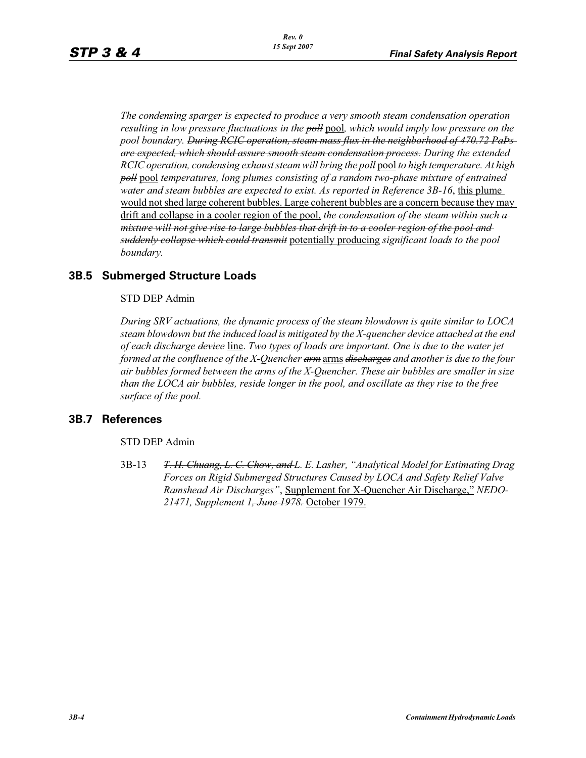*The condensing sparger is expected to produce a very smooth steam condensation operation resulting in low pressure fluctuations in the poll* pool*, which would imply low pressure on the pool boundary. During RCIC operation, steam mass flux in the neighborhood of 470.72 PaÞs are expected, which should assure smooth steam condensation process. During the extended RCIC operation, condensing exhaust steam will bring the poll* pool *to high temperature. At high poll* pool *temperatures, long plumes consisting of a random two-phase mixture of entrained water and steam bubbles are expected to exist. As reported in Reference 3B-16*, this plume would not shed large coherent bubbles. Large coherent bubbles are a concern because they may drift and collapse in a cooler region of the pool, *the condensation of the steam within such a mixture will not give rise to large bubbles that drift in to a cooler region of the pool and suddenly collapse which could transmit* potentially producing *significant loads to the pool boundary.*

# **3B.5 Submerged Structure Loads**

STD DEP Admin

*During SRV actuations, the dynamic process of the steam blowdown is quite similar to LOCA steam blowdown but the induced load is mitigated by the X-quencher device attached at the end of each discharge device* line. *Two types of loads are important. One is due to the water jet formed at the confluence of the X-Quencher arm* arms *discharges and another is due to the four air bubbles formed between the arms of the X-Quencher. These air bubbles are smaller in size than the LOCA air bubbles, reside longer in the pool, and oscillate as they rise to the free surface of the pool.*

# **3B.7 References**

STD DEP Admin

3B-13 *T. H. Chuang, L. C. Chow, and L. E. Lasher, "Analytical Model for Estimating Drag Forces on Rigid Submerged Structures Caused by LOCA and Safety Relief Valve Ramshead Air Discharges"*, Supplement for X-Quencher Air Discharge," *NEDO-21471, Supplement 1, June 1978.* October 1979.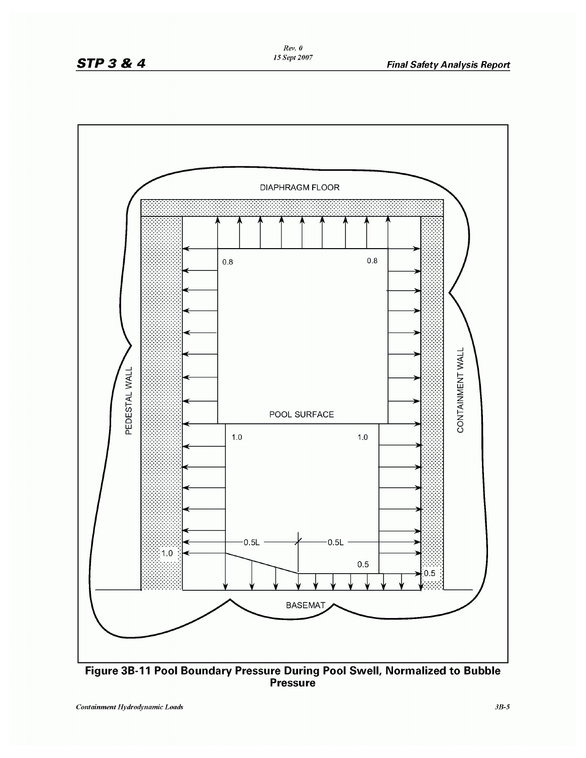



**Pressure**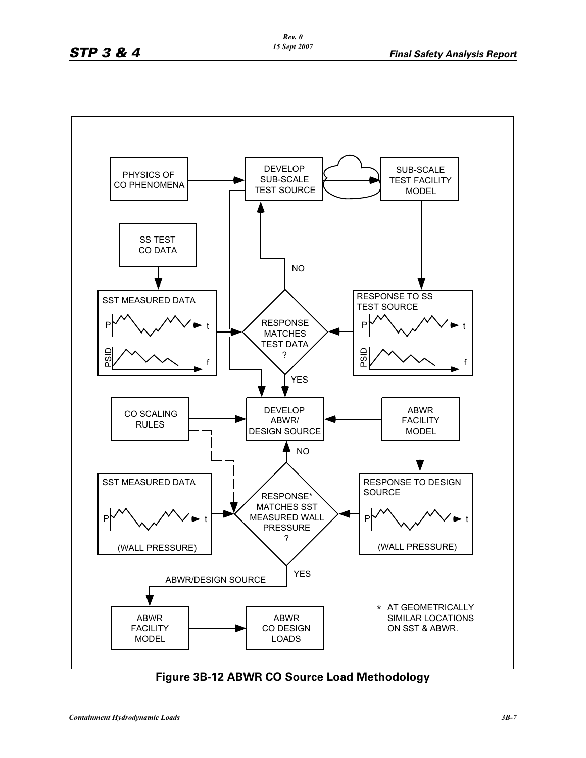

**Figure 3B-12 ABWR CO Source Load Methodology**